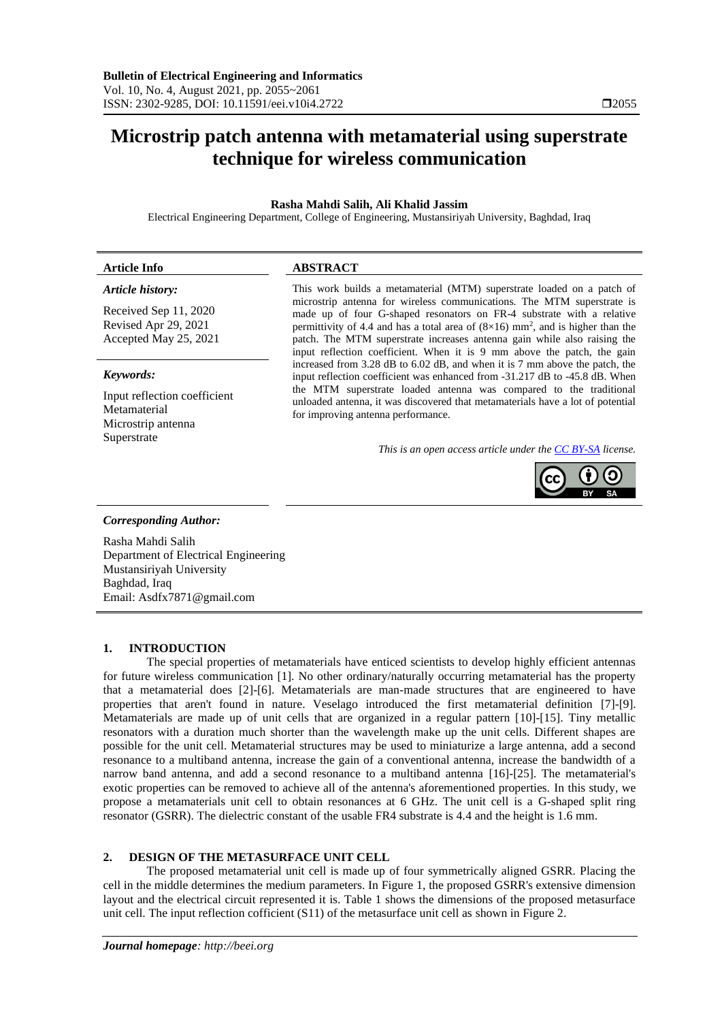## **Microstrip patch antenna with metamaterial using superstrate technique for wireless communication**

### **Rasha Mahdi Salih, Ali Khalid Jassim**

Electrical Engineering Department, College of Engineering, Mustansiriyah University, Baghdad, Iraq

#### **Article Info ABSTRACT**  *Article history:* Received Sep 11, 2020 Revised Apr 29, 2021 Accepted May 25, 2021 This work builds a metamaterial (MTM) superstrate loaded on a patch of microstrip antenna for wireless communications. The MTM superstrate is made up of four G-shaped resonators on FR-4 substrate with a relative permittivity of 4.4 and has a total area of  $(8\times16)$  mm<sup>2</sup>, and is higher than the patch. The MTM superstrate increases antenna gain while also raising the

### *Keywords:*

Input reflection coefficient **Metamaterial** Microstrip antenna Superstrate

input reflection coefficient. When it is 9 mm above the patch, the gain increased from 3.28 dB to 6.02 dB, and when it is 7 mm above the patch, the input reflection coefficient was enhanced from -31.217 dB to -45.8 dB. When the MTM superstrate loaded antenna was compared to the traditional unloaded antenna, it was discovered that metamaterials have a lot of potential for improving antenna performance.

*This is an open access article under th[e CC BY-SA](https://creativecommons.org/licenses/by-sa/4.0/) license.*



### *Corresponding Author:*

Rasha Mahdi Salih Department of Electrical Engineering Mustansiriyah University Baghdad, Iraq Email: Asdfx7871@gmail.com

### **1. INTRODUCTION**

The special properties of metamaterials have enticed scientists to develop highly efficient antennas for future wireless communication [1]. No other ordinary/naturally occurring metamaterial has the property that a metamaterial does [2]-[6]. Metamaterials are man-made structures that are engineered to have properties that aren't found in nature. Veselago introduced the first metamaterial definition [7]-[9]. Metamaterials are made up of unit cells that are organized in a regular pattern [10]-[15]. Tiny metallic resonators with a duration much shorter than the wavelength make up the unit cells. Different shapes are possible for the unit cell. Metamaterial structures may be used to miniaturize a large antenna, add a second resonance to a multiband antenna, increase the gain of a conventional antenna, increase the bandwidth of a narrow band antenna, and add a second resonance to a multiband antenna [16]-[25]. The metamaterial's exotic properties can be removed to achieve all of the antenna's aforementioned properties. In this study, we propose a metamaterials unit cell to obtain resonances at 6 GHz. The unit cell is a G-shaped split ring resonator (GSRR). The dielectric constant of the usable FR4 substrate is 4.4 and the height is 1.6 mm.

### **2. DESIGN OF THE METASURFACE UNIT CELL**

The proposed metamaterial unit cell is made up of four symmetrically aligned GSRR. Placing the cell in the middle determines the medium parameters. In Figure 1, the proposed GSRR's extensive dimension layout and the electrical circuit represented it is. Table 1 shows the dimensions of the proposed metasurface unit cell. The input reflection cofficient (S11) of the metasurface unit cell as shown in Figure 2.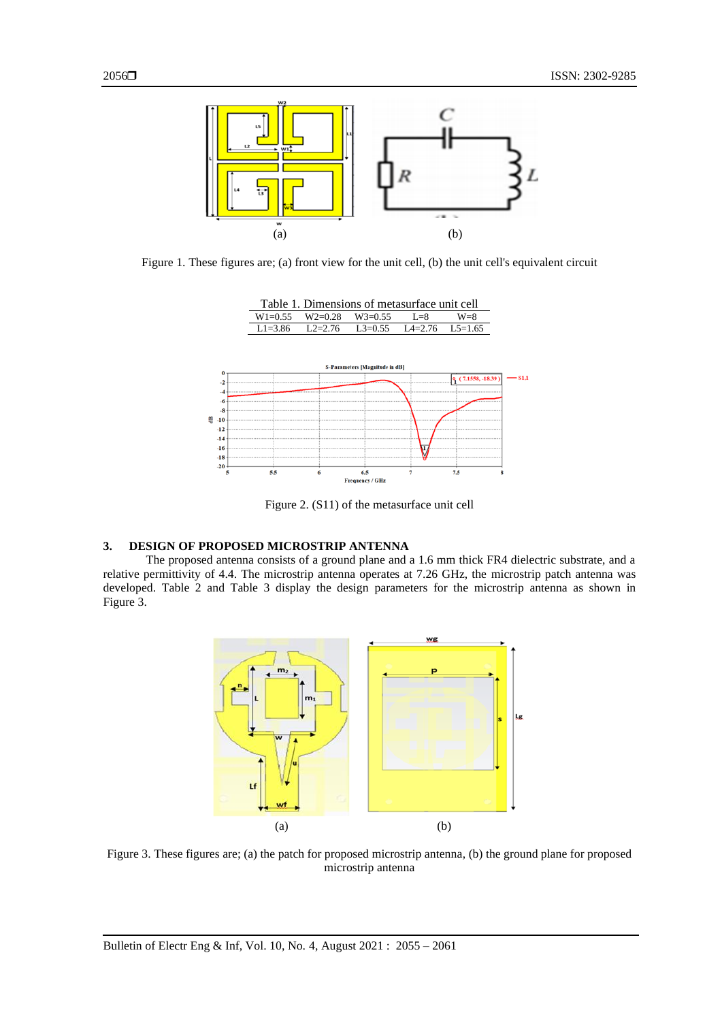

Figure 1. These figures are; (a) front view for the unit cell, (b) the unit cell's equivalent circuit



Figure 2. (S11) of the metasurface unit cell

### **3. DESIGN OF PROPOSED MICROSTRIP ANTENNA**

The proposed antenna consists of a ground plane and a 1.6 mm thick FR4 dielectric substrate, and a relative permittivity of 4.4. The microstrip antenna operates at 7.26 GHz, the microstrip patch antenna was developed. Table 2 and Table 3 display the design parameters for the microstrip antenna as shown in Figure 3.



Figure 3. These figures are; (a) the patch for proposed microstrip antenna, (b) the ground plane for proposed microstrip antenna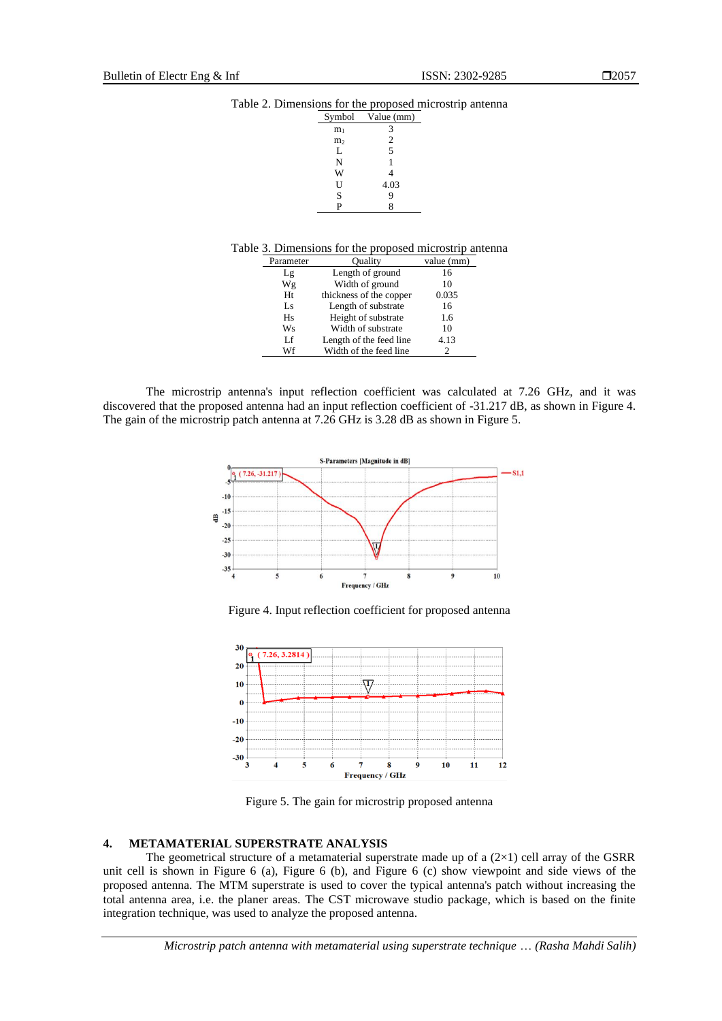# Table 2. Dimensions for the proposed microstrip antenna<br>  $\frac{\text{Symbol} - \text{Value (mm)}}{\text{Value (mm)}}$

| Symbol         | Value (mm)     |
|----------------|----------------|
| m <sub>1</sub> | 3              |
| m <sub>2</sub> | $\overline{2}$ |
| L              | 5              |
| N              | 1              |
| W              | 4              |
| U              | 4.03           |
| S              | 9              |
| P              | 8              |

| Parameter | Ouality                 | value (mm) |
|-----------|-------------------------|------------|
| Lg        | Length of ground        | 16         |
| Wg        | Width of ground         | 10         |
| Ht        | thickness of the copper | 0.035      |
| Ls        | Length of substrate     | 16         |
| Hs        | Height of substrate     | 1.6        |
| Ws        | Width of substrate      | 10         |
| Lf        | Length of the feed line | 4.13       |
| Wf        | Width of the feed line  |            |
|           |                         |            |

The microstrip antenna's input reflection coefficient was calculated at 7.26 GHz, and it was discovered that the proposed antenna had an input reflection coefficient of -31.217 dB, as shown in Figure 4. The gain of the microstrip patch antenna at 7.26 GHz is 3.28 dB as shown in Figure 5.



Figure 4. Input reflection coefficient for proposed antenna



Figure 5. The gain for microstrip proposed antenna

### **4. METAMATERIAL SUPERSTRATE ANALYSIS**

The geometrical structure of a metamaterial superstrate made up of a  $(2\times1)$  cell array of the GSRR unit cell is shown in Figure 6 (a), Figure 6 (b), and Figure 6 (c) show viewpoint and side views of the proposed antenna. The MTM superstrate is used to cover the typical antenna's patch without increasing the total antenna area, i.e. the planer areas. The CST microwave studio package, which is based on the finite integration technique, was used to analyze the proposed antenna.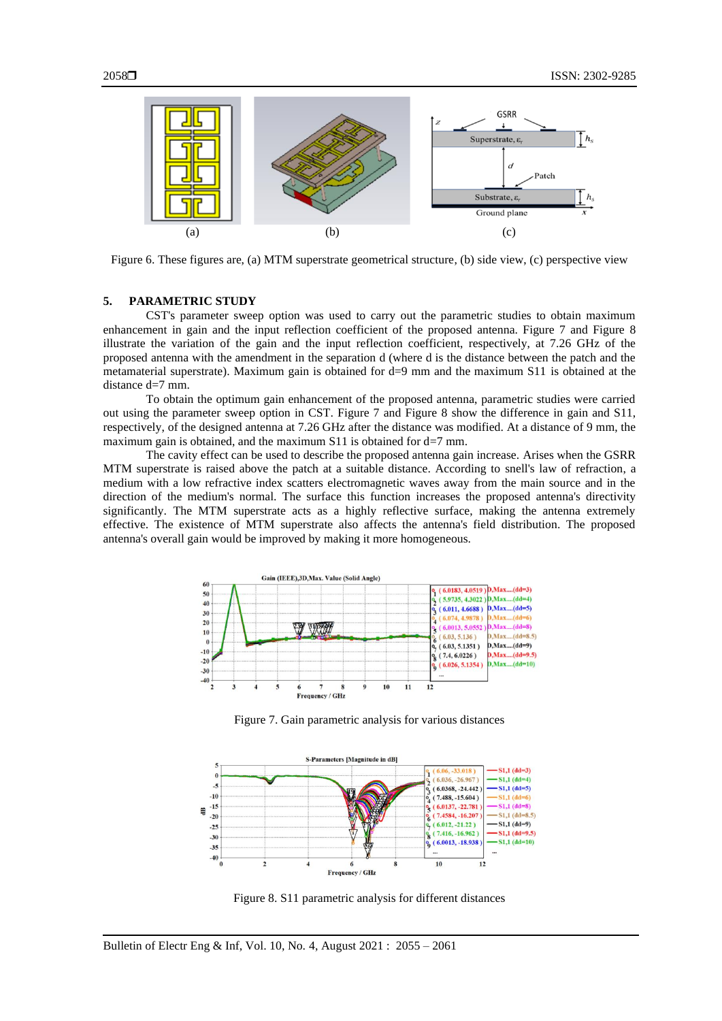

Figure 6. These figures are, (a) MTM superstrate geometrical structure, (b) side view, (c) perspective view

### **5. PARAMETRIC STUDY**

CST's parameter sweep option was used to carry out the parametric studies to obtain maximum enhancement in gain and the input reflection coefficient of the proposed antenna. Figure 7 and Figure 8 illustrate the variation of the gain and the input reflection coefficient, respectively, at 7.26 GHz of the proposed antenna with the amendment in the separation d (where d is the distance between the patch and the metamaterial superstrate). Maximum gain is obtained for d=9 mm and the maximum S11 is obtained at the distance d=7 mm.

To obtain the optimum gain enhancement of the proposed antenna, parametric studies were carried out using the parameter sweep option in CST. Figure 7 and Figure 8 show the difference in gain and S11, respectively, of the designed antenna at 7.26 GHz after the distance was modified. At a distance of 9 mm, the maximum gain is obtained, and the maximum  $S11$  is obtained for d=7 mm.

The cavity effect can be used to describe the proposed antenna gain increase. Arises when the GSRR MTM superstrate is raised above the patch at a suitable distance. According to snell's law of refraction, a medium with a low refractive index scatters electromagnetic waves away from the main source and in the direction of the medium's normal. The surface this function increases the proposed antenna's directivity significantly. The MTM superstrate acts as a highly reflective surface, making the antenna extremely effective. The existence of MTM superstrate also affects the antenna's field distribution. The proposed antenna's overall gain would be improved by making it more homogeneous.



Figure 7. Gain parametric analysis for various distances



Figure 8. S11 parametric analysis for different distances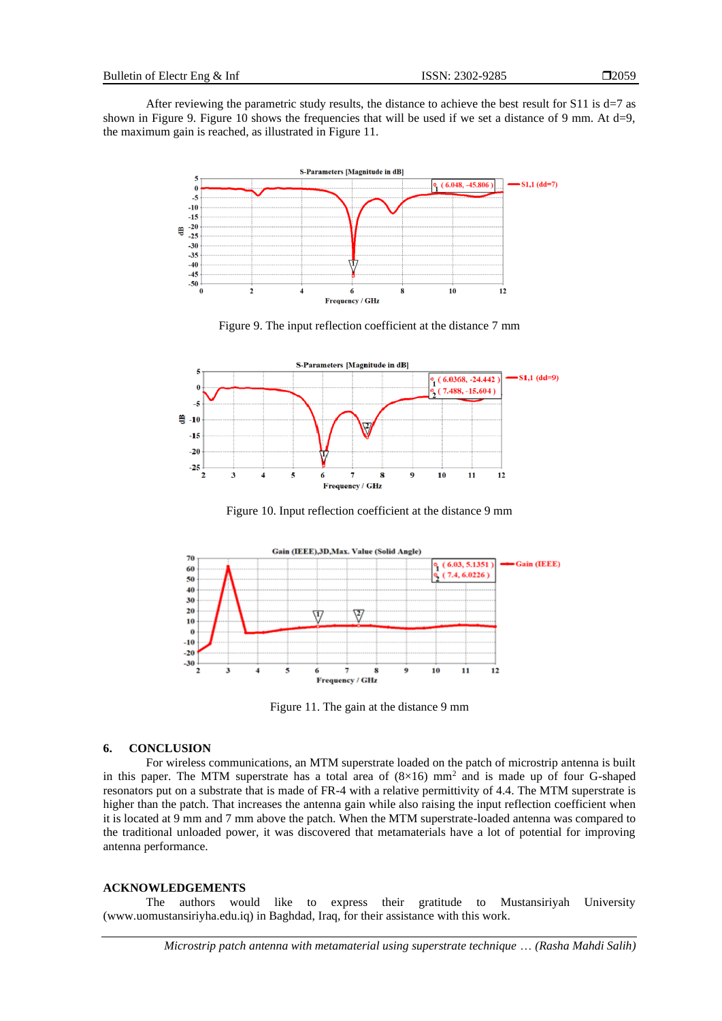After reviewing the parametric study results, the distance to achieve the best result for  $S11$  is d=7 as shown in Figure 9. Figure 10 shows the frequencies that will be used if we set a distance of 9 mm. At d=9, the maximum gain is reached, as illustrated in Figure 11.



Figure 9. The input reflection coefficient at the distance 7 mm



Figure 10. Input reflection coefficient at the distance 9 mm



Figure 11. The gain at the distance 9 mm

### **6. CONCLUSION**

For wireless communications, an MTM superstrate loaded on the patch of microstrip antenna is built in this paper. The MTM superstrate has a total area of  $(8\times16)$  mm<sup>2</sup> and is made up of four G-shaped resonators put on a substrate that is made of FR-4 with a relative permittivity of 4.4. The MTM superstrate is higher than the patch. That increases the antenna gain while also raising the input reflection coefficient when it is located at 9 mm and 7 mm above the patch. When the MTM superstrate-loaded antenna was compared to the traditional unloaded power, it was discovered that metamaterials have a lot of potential for improving antenna performance.

### **ACKNOWLEDGEMENTS**

The authors would like to express their gratitude to Mustansiriyah University (www.uomustansiriyha.edu.iq) in Baghdad, Iraq, for their assistance with this work.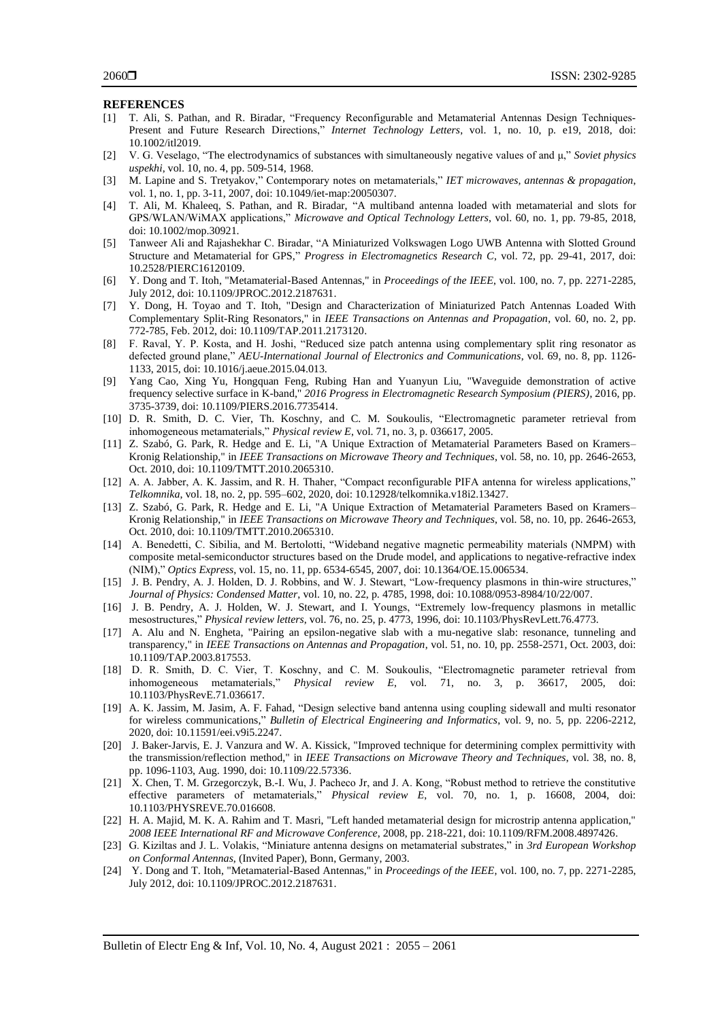### **REFERENCES**

- [1] T. Ali, S. Pathan, and R. Biradar, "Frequency Reconfigurable and Metamaterial Antennas Design Techniques‐ Present and Future Research Directions," *Internet Technology Letters*, vol. 1, no. 10, p. e19, 2018, doi: 10.1002/itl2019.
- [2] V. G. Veselago, "The electrodynamics of substances with simultaneously negative values of and μ," *Soviet physics uspekhi*, vol. 10, no. 4, pp. 509-514, 1968.
- [3] M. Lapine and S. Tretyakov," Contemporary notes on metamaterials," *IET microwaves, antennas & propagation*, vol. 1, no. 1, pp. 3-11, 2007, doi: 10.1049/iet-map:20050307.
- [4] T. Ali, M. Khaleeq, S. Pathan, and R. Biradar, "A multiband antenna loaded with metamaterial and slots for GPS/WLAN/WiMAX applications," *Microwave and Optical Technology Letters*, vol. 60, no. 1, pp. 79-85, 2018, doi: 10.1002/mop.30921.
- [5] Tanweer Ali and Rajashekhar C. Biradar, "A Miniaturized Volkswagen Logo UWB Antenna with Slotted Ground Structure and Metamaterial for GPS," *Progress in Electromagnetics Research C*, vol. 72, pp. 29-41, 2017, doi: 10.2528/PIERC16120109.
- [6] Y. Dong and T. Itoh, "Metamaterial-Based Antennas," in *Proceedings of the IEEE*, vol. 100, no. 7, pp. 2271-2285, July 2012, doi: 10.1109/JPROC.2012.2187631.
- [7] Y. Dong, H. Toyao and T. Itoh, "Design and Characterization of Miniaturized Patch Antennas Loaded With Complementary Split-Ring Resonators," in *IEEE Transactions on Antennas and Propagation*, vol. 60, no. 2, pp. 772-785, Feb. 2012, doi: 10.1109/TAP.2011.2173120.
- [8] F. Raval, Y. P. Kosta, and H. Joshi, "Reduced size patch antenna using complementary split ring resonator as defected ground plane," *AEU-International Journal of Electronics and Communications*, vol. 69, no. 8, pp. 1126- 1133, 2015, doi: 10.1016/j.aeue.2015.04.013.
- [9] Yang Cao, Xing Yu, Hongquan Feng, Rubing Han and Yuanyun Liu, "Waveguide demonstration of active frequency selective surface in K-band," *2016 Progress in Electromagnetic Research Symposium (PIERS)*, 2016, pp. 3735-3739, doi: 10.1109/PIERS.2016.7735414.
- [10] D. R. Smith, D. C. Vier, Th. Koschny, and C. M. Soukoulis, "Electromagnetic parameter retrieval from inhomogeneous metamaterials," *Physical review E*, vol. 71, no. 3, p. 036617, 2005.
- [11] Z. Szabó, G. Park, R. Hedge and E. Li, "A Unique Extraction of Metamaterial Parameters Based on Kramers– Kronig Relationship," in *IEEE Transactions on Microwave Theory and Techniques*, vol. 58, no. 10, pp. 2646-2653, Oct. 2010, doi: 10.1109/TMTT.2010.2065310.
- [12] A. A. Jabber, A. K. Jassim, and R. H. Thaher, "Compact reconfigurable PIFA antenna for wireless applications," *Telkomnika*, vol. 18, no. 2, pp. 595–602, 2020, doi: 10.12928/telkomnika.v18i2.13427.
- [13] Z. Szabó, G. Park, R. Hedge and E. Li, "A Unique Extraction of Metamaterial Parameters Based on Kramers– Kronig Relationship," in *IEEE Transactions on Microwave Theory and Techniques*, vol. 58, no. 10, pp. 2646-2653, Oct. 2010, doi: 10.1109/TMTT.2010.2065310.
- [14] A. Benedetti, C. Sibilia, and M. Bertolotti, "Wideband negative magnetic permeability materials (NMPM) with composite metal-semiconductor structures based on the Drude model, and applications to negative-refractive index (NIM)," *Optics Express*, vol. 15, no. 11, pp. 6534-6545, 2007, doi: 10.1364/OE.15.006534.
- [15] J. B. Pendry, A. J. Holden, D. J. Robbins, and W. J. Stewart, "Low-frequency plasmons in thin-wire structures," *Journal of Physics: Condensed Matter*, vol. 10, no. 22, p. 4785, 1998, doi: 10.1088/0953-8984/10/22/007.
- [16] J. B. Pendry, A. J. Holden, W. J. Stewart, and I. Youngs, "Extremely low-frequency plasmons in metallic mesostructures," *Physical review letters*, vol. 76, no. 25, p. 4773, 1996, doi: 10.1103/PhysRevLett.76.4773.
- [17] A. Alu and N. Engheta, "Pairing an epsilon-negative slab with a mu-negative slab: resonance, tunneling and transparency," in *IEEE Transactions on Antennas and Propagation*, vol. 51, no. 10, pp. 2558-2571, Oct. 2003, doi: 10.1109/TAP.2003.817553.
- [18] D. R. Smith, D. C. Vier, T. Koschny, and C. M. Soukoulis, "Electromagnetic parameter retrieval from inhomogeneous metamaterials," *Physical review E*, vol. 71, no. 3, p. 36617, 2005, doi: 10.1103/PhysRevE.71.036617.
- [19] A. K. Jassim, M. Jasim, A. F. Fahad, "Design selective band antenna using coupling sidewall and multi resonator for wireless communications," *Bulletin of Electrical Engineering and Informatics*, vol. 9, no. 5, pp. 2206-2212, 2020, doi: 10.11591/eei.v9i5.2247.
- [20] J. Baker-Jarvis, E. J. Vanzura and W. A. Kissick, "Improved technique for determining complex permittivity with the transmission/reflection method," in *IEEE Transactions on Microwave Theory and Techniques*, vol. 38, no. 8, pp. 1096-1103, Aug. 1990, doi: 10.1109/22.57336.
- [21] X. Chen, T. M. Grzegorczyk, B.-I. Wu, J. Pacheco Jr, and J. A. Kong, "Robust method to retrieve the constitutive effective parameters of metamaterials," *Physical review E*, vol. 70, no. 1, p. 16608, 2004, doi: 10.1103/PHYSREVE.70.016608.
- [22] H. A. Majid, M. K. A. Rahim and T. Masri, "Left handed metamaterial design for microstrip antenna application," *2008 IEEE International RF and Microwave Conference*, 2008, pp. 218-221, doi: 10.1109/RFM.2008.4897426.
- [23] G. Kiziltas and J. L. Volakis, "Miniature antenna designs on metamaterial substrates," in *3rd European Workshop on Conformal Antennas*, (Invited Paper), Bonn, Germany, 2003.
- [24] Y. Dong and T. Itoh, "Metamaterial-Based Antennas," in *Proceedings of the IEEE*, vol. 100, no. 7, pp. 2271-2285, July 2012, doi: 10.1109/JPROC.2012.2187631.